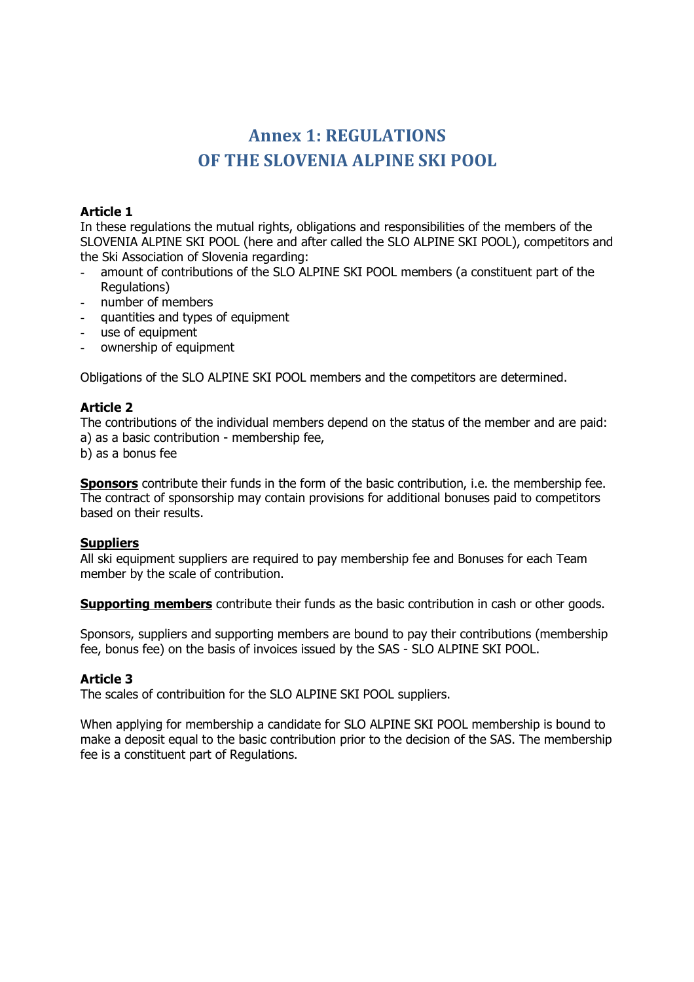# **Annex 1: REGULATIONS OF THE SLOVENIA ALPINE SKI POOL**

## **Article 1**

In these regulations the mutual rights, obligations and responsibilities of the members of the SLOVENIA ALPINE SKI POOL (here and after called the SLO ALPINE SKI POOL), competitors and the Ski Association of Slovenia regarding:

- amount of contributions of the SLO ALPINE SKI POOL members (a constituent part of the Regulations)
- number of members
- quantities and types of equipment
- use of equipment
- ownership of equipment

Obligations of the SLO ALPINE SKI POOL members and the competitors are determined.

# **Article 2**

The contributions of the individual members depend on the status of the member and are paid: a) as a basic contribution - membership fee,

b) as a bonus fee

**Sponsors** contribute their funds in the form of the basic contribution, i.e. the membership fee. The contract of sponsorship may contain provisions for additional bonuses paid to competitors based on their results.

## **Suppliers**

All ski equipment suppliers are required to pay membership fee and Bonuses for each Team member by the scale of contribution.

**Supporting members** contribute their funds as the basic contribution in cash or other goods.

Sponsors, suppliers and supporting members are bound to pay their contributions (membership fee, bonus fee) on the basis of invoices issued by the SAS - SLO ALPINE SKI POOL.

## **Article 3**

The scales of contribuition for the SLO ALPINE SKI POOL suppliers.

When applying for membership a candidate for SLO ALPINE SKI POOL membership is bound to make a deposit equal to the basic contribution prior to the decision of the SAS. The membership fee is a constituent part of Regulations.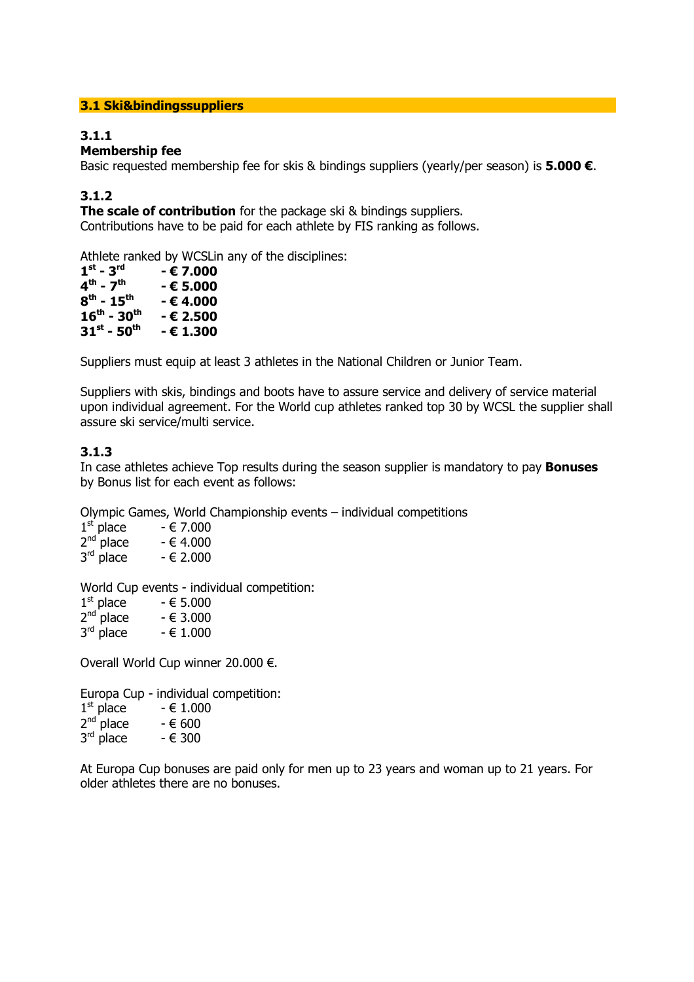## **3.1 Ski&bindingssuppliers**

# **3.1.1**

# **Membership fee**

Basic requested membership fee for skis & bindings suppliers (yearly/per season) is **5.000 €**.

## **3.1.2**

**The scale of contribution** for the package ski & bindings suppliers. Contributions have to be paid for each athlete by FIS ranking as follows.

Athlete ranked by WCSLin any of the disciplines:

| $1^{\rm st}$ - $3^{\rm rd}$         | - € 7.000 |
|-------------------------------------|-----------|
| $4^{\text{th}}$ - $7^{\text{th}}$   | - € 5.000 |
| $8^{\rm th}$ - 15 <sup>th</sup>     | - € 4.000 |
| $16^{\text{th}}$ - 30 <sup>th</sup> | - € 2.500 |
| $31^{\rm st}$ - $50^{\rm th}$       | - € 1.300 |

Suppliers must equip at least 3 athletes in the National Children or Junior Team.

Suppliers with skis, bindings and boots have to assure service and delivery of service material upon individual agreement. For the World cup athletes ranked top 30 by WCSL the supplier shall assure ski service/multi service.

## **3.1.3**

In case athletes achieve Top results during the season supplier is mandatory to pay **Bonuses** by Bonus list for each event as follows:

Olympic Games, World Championship events – individual competitions

| $1st$ place | $-€7.000$ |
|-------------|-----------|
| $2nd$ place | $-64.000$ |
| $3rd$ place | $-62.000$ |

World Cup events - individual competition:

| $1st$ place | $-65.000$ |
|-------------|-----------|
| $2nd$ place | $-63.000$ |
| $3rd$ place | $-61.000$ |

Overall World Cup winner 20.000 €.

Europa Cup - individual competition:

| $1st$ place | $-61.000$ |
|-------------|-----------|
| $2nd$ place | $-600$    |
| $3rd$ place | $-6300$   |

At Europa Cup bonuses are paid only for men up to 23 years and woman up to 21 years. For older athletes there are no bonuses.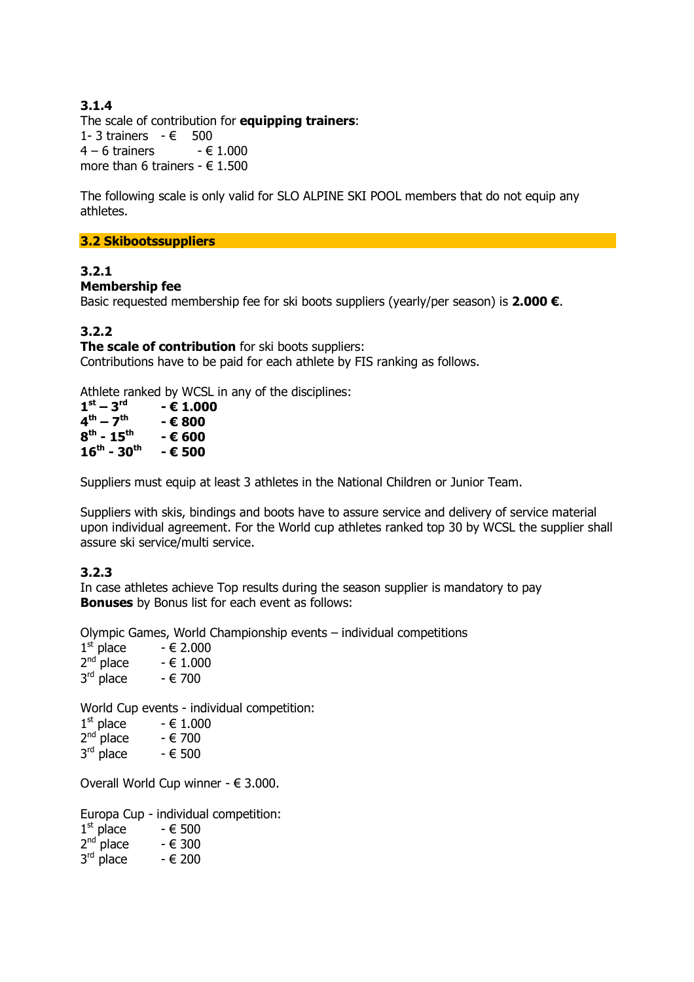# **3.1.4**

The scale of contribution for **equipping trainers**: 1- 3 trainers  $-$  € 500<br>4 - 6 trainers  $-$  € 1.000  $4 - 6$  trainers more than 6 trainers -  $\in$  1.500

The following scale is only valid for SLO ALPINE SKI POOL members that do not equip any athletes.

**3.2 Skibootssuppliers** 

## **3.2.1**

## **Membership fee**

Basic requested membership fee for ski boots suppliers (yearly/per season) is **2.000 €**.

## **3.2.2**

**The scale of contribution** for ski boots suppliers: Contributions have to be paid for each athlete by FIS ranking as follows.

Athlete ranked by WCSL in any of the disciplines:

| $1st - 3rd$                         | - € 1.000 |
|-------------------------------------|-----------|
| $4^{\text{th}} - 7^{\text{th}}$     | - € 800   |
| $8^{th}$ - 15 <sup>th</sup>         | - € 600   |
| $16^{\text{th}}$ - 30 <sup>th</sup> | - € 500   |

Suppliers must equip at least 3 athletes in the National Children or Junior Team.

Suppliers with skis, bindings and boots have to assure service and delivery of service material upon individual agreement. For the World cup athletes ranked top 30 by WCSL the supplier shall assure ski service/multi service.

## **3.2.3**

In case athletes achieve Top results during the season supplier is mandatory to pay **Bonuses** by Bonus list for each event as follows:

Olympic Games, World Championship events – individual competitions

 $1<sup>st</sup>$  place  $- \in 2.000$  $2^{nd}$  place  $\qquad$  -  $\in$  1.000  $3^{\text{rd}}$  place  $\qquad$  -  $\in$  700

World Cup events - individual competition:

| $1st$ place | $-61.000$ |
|-------------|-----------|
| $2nd$ place | - € 700   |
| $3rd$ place | $-6500$   |

Overall World Cup winner - € 3.000.

|                       | Europa Cup - individual competition: |
|-----------------------|--------------------------------------|
| $1st$ place           | - € 500                              |
| $2nd$ place           | - € 300                              |
| $3^{\text{rd}}$ place | - € 200                              |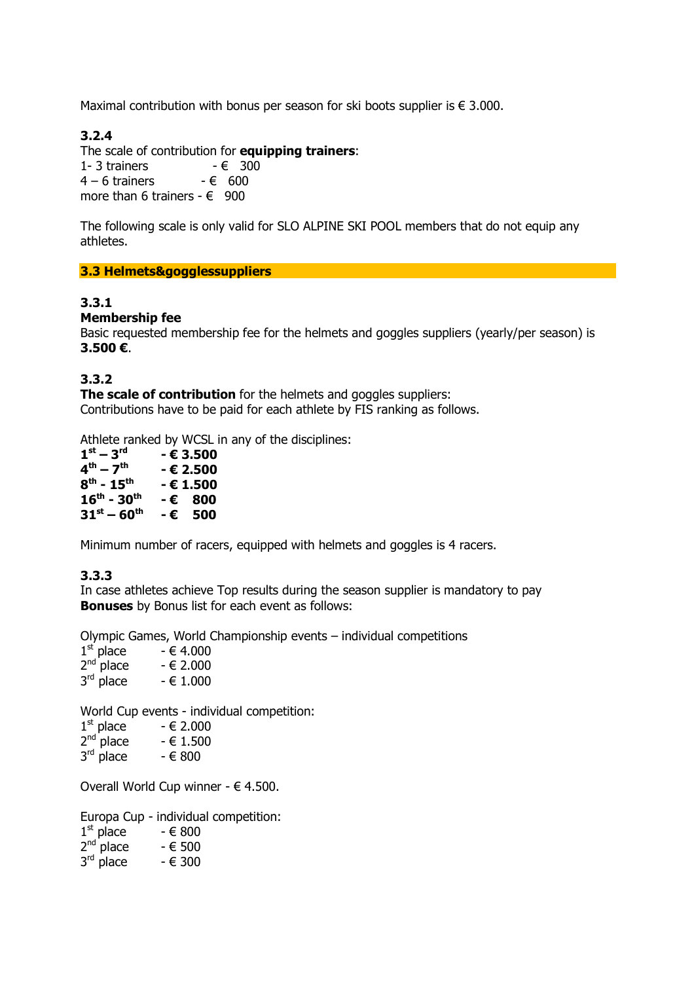Maximal contribution with bonus per season for ski boots supplier is  $\epsilon$  3.000.

# **3.2.4**

The scale of contribution for **equipping trainers**: 1- 3 trainers  $- \epsilon$  $4 - 6$  trainers  $-6$ more than 6 trainers -  $\epsilon$ 

The following scale is only valid for SLO ALPINE SKI POOL members that do not equip any athletes.

## **3.3 Helmets&gogglessuppliers**

# **3.3.1**

## **Membership fee**

Basic requested membership fee for the helmets and goggles suppliers (yearly/per season) is **3.500 €**.

## **3.3.2**

**The scale of contribution** for the helmets and goggles suppliers: Contributions have to be paid for each athlete by FIS ranking as follows.

Athlete ranked by WCSL in any of the disciplines:

| $1st - 3rd$                         |     | - € 3.500 |
|-------------------------------------|-----|-----------|
| $4^{\text{th}} - 7^{\text{th}}$     |     | - € 2.500 |
| $8^{th}$ - 15 <sup>th</sup>         |     | - € 1.500 |
| $16^{\text{th}}$ - 30 <sup>th</sup> |     | -€ 800    |
| $31^{st} - 60^{th}$                 | - € | 500       |

Minimum number of racers, equipped with helmets and goggles is 4 racers.

## **3.3.3**

In case athletes achieve Top results during the season supplier is mandatory to pay **Bonuses** by Bonus list for each event as follows:

Olympic Games, World Championship events – individual competitions

| $1st$ place    | $-€ 4.000$ |
|----------------|------------|
| $2^{nd}$ place | $-62.000$  |
| 3rd place      | $-61.000$  |

World Cup events - individual competition:

| $1st$ place | $-62.000$ |
|-------------|-----------|
| $-nd$       | ---       |

|             | $2nd$ place | $-61.500$ |
|-------------|-------------|-----------|
| $\sim$ rd i |             |           |

 $3^{\text{rd}}$  place  $\qquad$  -  $\in$  800

Overall World Cup winner -  $\in$  4.500.

Europa Cup - individual competition:

| $1st$ place    | - € 800 |
|----------------|---------|
| $2^{nd}$ place | - € 500 |
| 3rd place      | - € 300 |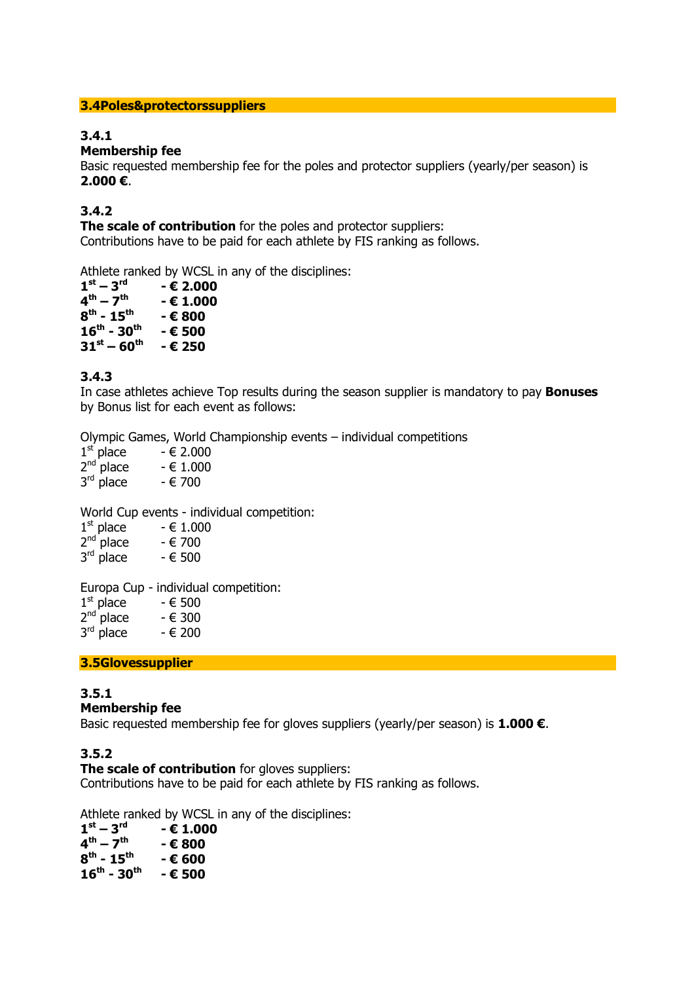#### **3.4Poles&protectorssuppliers**

# **3.4.1**

## **Membership fee**

Basic requested membership fee for the poles and protector suppliers (yearly/per season) is **2.000 €**.

## **3.4.2**

**The scale of contribution** for the poles and protector suppliers: Contributions have to be paid for each athlete by FIS ranking as follows.

Athlete ranked by WCSL in any of the disciplines:

| $1st - 3rd$                         | $-$ € 2.000 |
|-------------------------------------|-------------|
| $4^{th} - 7^{th}$                   | $- 61.000$  |
| $8^{th}$ - 15 <sup>th</sup>         | - € 800     |
| $16^{\text{th}}$ - 30 <sup>th</sup> | - € 500     |
| $31^{st} - 60^{th}$                 | - € 250     |
|                                     |             |

## **3.4.3**

In case athletes achieve Top results during the season supplier is mandatory to pay **Bonuses** by Bonus list for each event as follows:

Olympic Games, World Championship events – individual competitions

| $1st$ place    | $-62.000$ |
|----------------|-----------|
| $2^{nd}$ place | $-61.000$ |
| 3rd place      | - € 700   |

World Cup events - individual competition:

| $1st$ place | - € 1.000 |
|-------------|-----------|
| $2nd$ place | - € 700   |
| $-rd$       |           |

| $3rd$ place |  | $-6500$ |
|-------------|--|---------|
|-------------|--|---------|

Europa Cup - individual competition:

| $1st$ place | - € 500 |
|-------------|---------|
| $2nd$ place | - € 300 |
| $3rd$ place | - € 200 |

**3.5Glovessupplier** 

# **3.5.1**

# **Membership fee**

Basic requested membership fee for gloves suppliers (yearly/per season) is **1.000 €**.

# **3.5.2**

**The scale of contribution** for gloves suppliers:

Contributions have to be paid for each athlete by FIS ranking as follows.

Athlete ranked by WCSL in any of the disciplines:

| $1st - 3rd$                         | - € 1.000 |
|-------------------------------------|-----------|
| $4^{\text{th}} - 7^{\text{th}}$     | - € 800   |
| $8^{th}$ - 15 <sup>th</sup>         | - € 600   |
| $16^{\text{th}}$ - 30 <sup>th</sup> | - € 500   |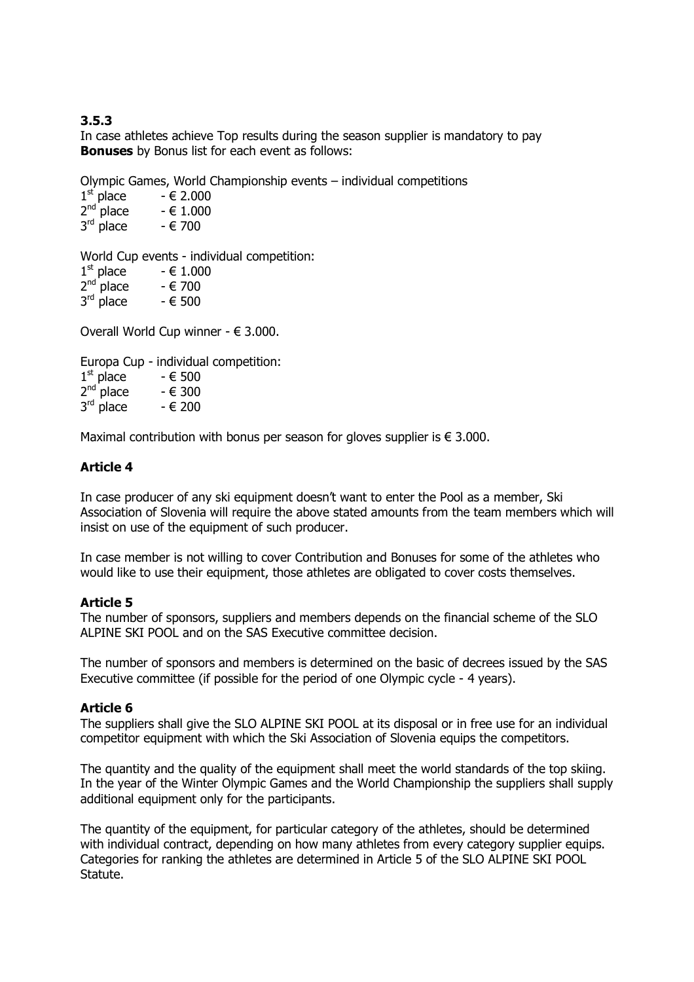# **3.5.3**

In case athletes achieve Top results during the season supplier is mandatory to pay **Bonuses** by Bonus list for each event as follows:

Olympic Games, World Championship events – individual competitions

| $1st$ place | $-62.000$ |
|-------------|-----------|
| $2nd$ place | $-61.000$ |
| $3rd$ place | - € 700   |

World Cup events - individual competition:

| $2^{nd}$ place | - € 700 |
|----------------|---------|
|                |         |

 $3^{\text{rd}}$  place  $\qquad$  -  $\in$  500

Overall World Cup winner - € 3.000.

Europa Cup - individual competition:  $1<sup>st</sup>$  place  $- \epsilon$  500

| $2^{nd}$ place | $-6300$ |
|----------------|---------|
| امب –          |         |

 $3^{\text{rd}}$  place  $\qquad$  -  $\in$  200

Maximal contribution with bonus per season for gloves supplier is  $\epsilon$  3.000.

## **Article 4**

In case producer of any ski equipment doesn't want to enter the Pool as a member, Ski Association of Slovenia will require the above stated amounts from the team members which will insist on use of the equipment of such producer.

In case member is not willing to cover Contribution and Bonuses for some of the athletes who would like to use their equipment, those athletes are obligated to cover costs themselves.

## **Article 5**

The number of sponsors, suppliers and members depends on the financial scheme of the SLO ALPINE SKI POOL and on the SAS Executive committee decision.

The number of sponsors and members is determined on the basic of decrees issued by the SAS Executive committee (if possible for the period of one Olympic cycle - 4 years).

## **Article 6**

The suppliers shall give the SLO ALPINE SKI POOL at its disposal or in free use for an individual competitor equipment with which the Ski Association of Slovenia equips the competitors.

The quantity and the quality of the equipment shall meet the world standards of the top skiing. In the year of the Winter Olympic Games and the World Championship the suppliers shall supply additional equipment only for the participants.

The quantity of the equipment, for particular category of the athletes, should be determined with individual contract, depending on how many athletes from every category supplier equips. Categories for ranking the athletes are determined in Article 5 of the SLO ALPINE SKI POOL Statute.